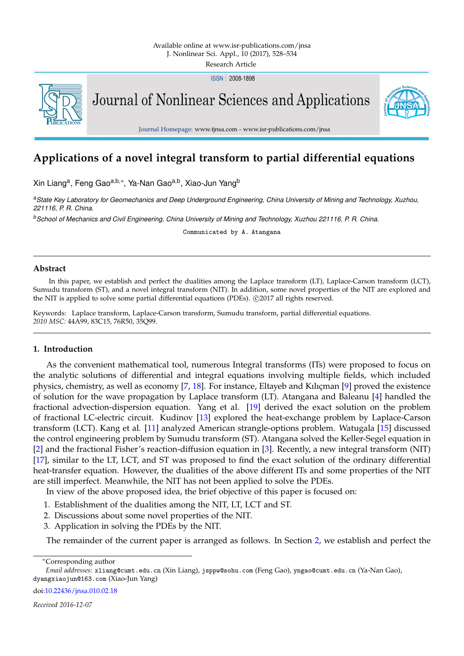ISSN: 2008-1898



Journal of Nonlinear Sciences and Applications



Journal Homepage: www.tjnsa.com - www.isr-publications.com/jnsa

# **Applications of a novel integral transform to partial differential equations**

Xin Liang<sup>a</sup>, Feng Gao<sup>a,b,</sup>\*, Ya-Nan Gao<sup>a,b</sup>, Xiao-Jun Yang<sup>b</sup>

*<sup>a</sup>State Key Laboratory for Geomechanics and Deep Underground Engineering, China University of Mining and Technology, Xuzhou, 221116, P. R. China.*

*<sup>b</sup>School of Mechanics and Civil Engineering, China University of Mining and Technology, Xuzhou 221116, P. R. China.*

Communicated by A. Atangana

## **Abstract**

In this paper, we establish and perfect the dualities among the Laplace transform (LT), Laplace-Carson transform (LCT), Sumudu transform (ST), and a novel integral transform (NIT). In addition, some novel properties of the NIT are explored and the NIT is applied to solve some partial differential equations (PDEs). ©2017 all rights reserved.

Keywords: Laplace transform, Laplace-Carson transform, Sumudu transform, partial differential equations. *2010 MSC:* 44A99, 83C15, 76R50, 35Q99.

# <span id="page-0-0"></span>**1. Introduction**

As the convenient mathematical tool, numerous Integral transforms (ITs) were proposed to focus on the analytic solutions of differential and integral equations involving multiple fields, which included physics, chemistry, as well as economy  $[7, 18]$  $[7, 18]$  $[7, 18]$ . For instance, Eltayeb and Kılıçman  $[9]$  proved the existence of solution for the wave propagation by Laplace transform (LT). Atangana and Baleanu [\[4\]](#page-5-0) handled the fractional advection-dispersion equation. Yang et al. [\[19\]](#page-6-3) derived the exact solution on the problem of fractional LC-electric circuit. Kudinov [\[13\]](#page-6-4) explored the heat-exchange problem by Laplace-Carson transform (LCT). Kang et al. [\[11\]](#page-6-5) analyzed American strangle-options problem. Watugala [\[15\]](#page-6-6) discussed the control engineering problem by Sumudu transform (ST). Atangana solved the Keller-Segel equation in [\[2\]](#page-5-1) and the fractional Fisher's reaction-diffusion equation in [\[3\]](#page-5-2). Recently, a new integral transform (NIT) [\[17\]](#page-6-7), similar to the LT, LCT, and ST was proposed to find the exact solution of the ordinary differential heat-transfer equation. However, the dualities of the above different ITs and some properties of the NIT are still imperfect. Meanwhile, the NIT has not been applied to solve the PDEs.

In view of the above proposed idea, the brief objective of this paper is focused on:

- 1. Establishment of the dualities among the NIT, LT, LCT and ST.
- 2. Discussions about some novel properties of the NIT.
- 3. Application in solving the PDEs by the NIT.

The remainder of the current paper is arranged as follows. In Section [2,](#page-1-0) we establish and perfect the

<sup>∗</sup>Corresponding author

doi[:10.22436/jnsa.010.02.18](http://dx.doi.org/10.22436/jnsa.010.02.18)

*Received 2016-12-07*

*Email addresses:* xliang@cumt.edu.cn (Xin Liang), jsppw@sohu.com (Feng Gao), yngao@cumt.edu.cn (Ya-Nan Gao), dyangxiaojun@163.com (Xiao-Jun Yang)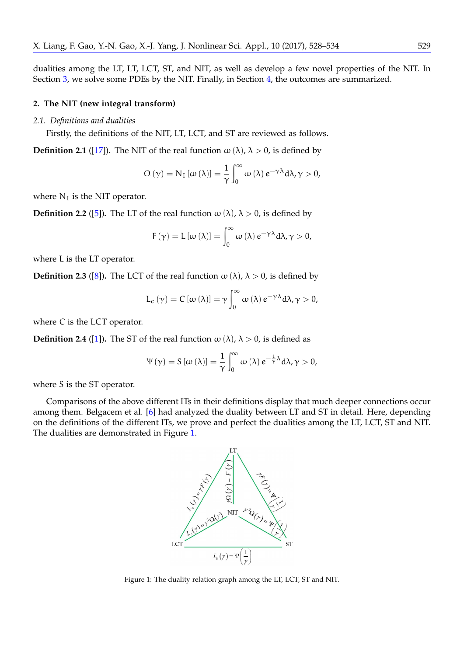dualities among the LT, LT, LCT, ST, and NIT, as well as develop a few novel properties of the NIT. In Section [3,](#page-3-0) we solve some PDEs by the NIT. Finally, in Section [4,](#page-5-3) the outcomes are summarized.

# <span id="page-1-0"></span>**2. The NIT (new integral transform)**

# *2.1. Definitions and dualities*

Firstly, the definitions of the NIT, LT, LCT, and ST are reviewed as follows.

<span id="page-1-6"></span>**Definition 2.1** ([\[17\]](#page-6-7)). The NIT of the real function  $\omega(\lambda)$ ,  $\lambda > 0$ , is defined by

<span id="page-1-2"></span>
$$
\Omega(\gamma) = N_{\mathrm{I}}\left[\omega\left(\lambda\right)\right] = \frac{1}{\gamma} \int_{0}^{\infty} \omega\left(\lambda\right) e^{-\gamma\lambda} d\lambda, \gamma > 0,
$$

where  $N_I$  is the NIT operator.

<span id="page-1-4"></span>**Definition 2.2** ([\[5\]](#page-5-4)). The LT of the real function  $\omega(\lambda)$ ,  $\lambda > 0$ , is defined by

$$
F(\gamma) = L [\omega (\lambda)] = \int_0^\infty \omega (\lambda) e^{-\gamma \lambda} d\lambda, \gamma > 0,
$$

where L is the LT operator.

<span id="page-1-5"></span>**Definition 2.3** ([\[8\]](#page-6-8)). The LCT of the real function  $\omega(\lambda)$ ,  $\lambda > 0$ , is defined by

$$
L_{c}(\gamma) = C [\omega (\lambda)] = \gamma \int_{0}^{\infty} \omega (\lambda) e^{-\gamma \lambda} d\lambda, \gamma > 0,
$$

where C is the LCT operator.

<span id="page-1-3"></span>**Definition 2.4** ([\[1\]](#page-5-5)). The ST of the real function  $\omega(\lambda)$ ,  $\lambda > 0$ , is defined as

$$
\Psi(\gamma) = S[\omega(\lambda)] = \frac{1}{\gamma} \int_0^\infty \omega(\lambda) e^{-\frac{1}{\gamma}\lambda} d\lambda, \gamma > 0,
$$

where S is the ST operator.

Comparisons of the above different ITs in their definitions display that much deeper connections occur among them. Belgacem et al. [\[6\]](#page-6-9) had analyzed the duality between LT and ST in detail. Here, depending on the definitions of the different ITs, we prove and perfect the dualities among the LT, LCT, ST and NIT. The dualities are demonstrated in Figure [1.](#page-1-1)



<span id="page-1-1"></span>Figure 1: The duality relation graph among the LT, LCT, ST and NIT.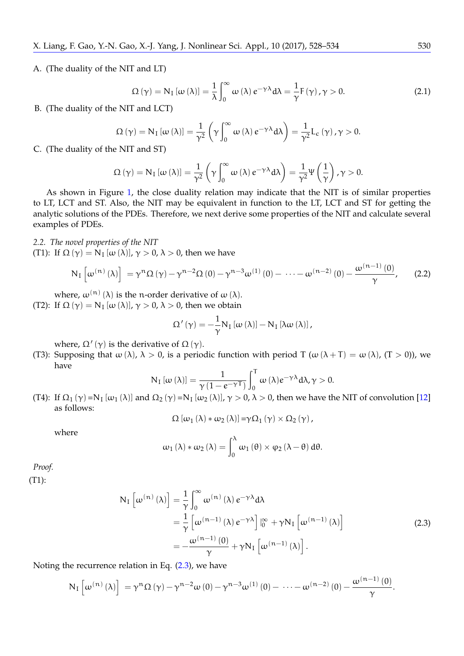A. (The duality of the NIT and LT)

$$
\Omega(\gamma) = N_{I} [\omega(\lambda)] = \frac{1}{\lambda} \int_{0}^{\infty} \omega(\lambda) e^{-\gamma \lambda} d\lambda = \frac{1}{\gamma} F(\gamma), \gamma > 0.
$$
 (2.1)

B. (The duality of the NIT and LCT)

$$
\Omega(\gamma) = N_{I} [\omega(\lambda)] = \frac{1}{\gamma^{2}} \left( \gamma \int_{0}^{\infty} \omega(\lambda) e^{-\gamma \lambda} d\lambda \right) = \frac{1}{\gamma^{2}} L_{c}(\gamma), \gamma > 0.
$$

C. (The duality of the NIT and ST)

$$
\Omega\left(\gamma\right)=N_{I}\left[\omega\left(\lambda\right)\right]=\frac{1}{\gamma^{2}}\left(\gamma\int_{0}^{\infty}\omega\left(\lambda\right)e^{-\gamma\lambda}d\lambda\right)=\frac{1}{\gamma^{2}}\Psi\left(\frac{1}{\gamma}\right),\gamma>0.
$$

As shown in Figure [1,](#page-1-1) the close duality relation may indicate that the NIT is of similar properties to LT, LCT and ST. Also, the NIT may be equivalent in function to the LT, LCT and ST for getting the analytic solutions of the PDEs. Therefore, we next derive some properties of the NIT and calculate several examples of PDEs.

*2.2. The novel properties of the NIT*

(T1): If  $\Omega(\gamma) = N_I [\omega(\lambda)], \gamma > 0, \lambda > 0$ , then we have

<span id="page-2-1"></span>
$$
N_{I}\left[\omega^{(n)}\left(\lambda\right)\right]=\gamma^{n}\Omega\left(\gamma\right)-\gamma^{n-2}\Omega\left(0\right)-\gamma^{n-3}\omega^{(1)}\left(0\right)-\cdots-\omega^{(n-2)}\left(0\right)-\frac{\omega^{(n-1)}\left(0\right)}{\gamma},\qquad(2.2)
$$

where,  $\omega^{(n)}(\lambda)$  is the n-order derivative of  $\omega(\lambda)$ . (T2): If  $\Omega(\gamma) = N_I [\omega(\lambda)], \gamma > 0, \lambda > 0$ , then we obtain

$$
\Omega'\left(\gamma\right)=-\frac{1}{\gamma}N_{I}\left[\omega\left(\lambda\right)\right]-N_{I}\left[\lambda\omega\left(\lambda\right)\right],
$$

where,  $\Omega'(\gamma)$  is the derivative of  $\Omega(\gamma)$ .

(T3): Supposing that  $\omega(\lambda)$ ,  $\lambda > 0$ , is a periodic function with period T ( $\omega(\lambda + T) = \omega(\lambda)$ , (T > 0)), we have

<span id="page-2-2"></span>
$$
N_{I} [\omega (\lambda)] = \frac{1}{\gamma (1 - e^{-\gamma T})} \int_{0}^{T} \omega (\lambda) e^{-\gamma \lambda} d\lambda, \gamma > 0.
$$

(T4): If  $\Omega_1(\gamma)$  =N<sub>I</sub> [ $\omega_1(\lambda)$ ] and  $\Omega_2(\gamma)$  =N<sub>I</sub> [ $\omega_2(\lambda)$ ],  $\gamma > 0$ ,  $\lambda > 0$ , then we have the NIT of convolution [\[12\]](#page-6-10) as follows:

$$
\Omega\left[\omega_{1}\left(\lambda\right)\ast\omega_{2}\left(\lambda\right)\right]=\gamma\Omega_{1}\left(\gamma\right)\times\Omega_{2}\left(\gamma\right),
$$

where

$$
\omega_1(\lambda) * \omega_2(\lambda) = \int_0^{\lambda} \omega_1(\theta) \times \varphi_2(\lambda - \theta) d\theta.
$$

*Proof.*

<span id="page-2-0"></span>(T1):

$$
N_{I} \left[ \omega^{(n)} \left( \lambda \right) \right] = \frac{1}{\gamma} \int_{0}^{\infty} \omega^{(n)} \left( \lambda \right) e^{-\gamma \lambda} d\lambda
$$
  
\n
$$
= \frac{1}{\gamma} \left[ \omega^{(n-1)} \left( \lambda \right) e^{-\gamma \lambda} \right] \Big|_{0}^{\infty} + \gamma N_{I} \left[ \omega^{(n-1)} \left( \lambda \right) \right]
$$
  
\n
$$
= -\frac{\omega^{(n-1)} \left( 0 \right)}{\gamma} + \gamma N_{I} \left[ \omega^{(n-1)} \left( \lambda \right) \right].
$$
\n(2.3)

Noting the recurrence relation in Eq. [\(2.3\)](#page-2-0), we have

$$
N_{I}\left[\omega^{(n)}\left(\lambda\right)\right]=\gamma^{n}\Omega\left(\gamma\right)-\gamma^{n-2}\omega\left(0\right)-\gamma^{n-3}\omega^{(1)}\left(0\right)-\ \cdots-\omega^{(n-2)}\left(0\right)-\frac{\omega^{(n-1)}\left(0\right)}{\gamma}.
$$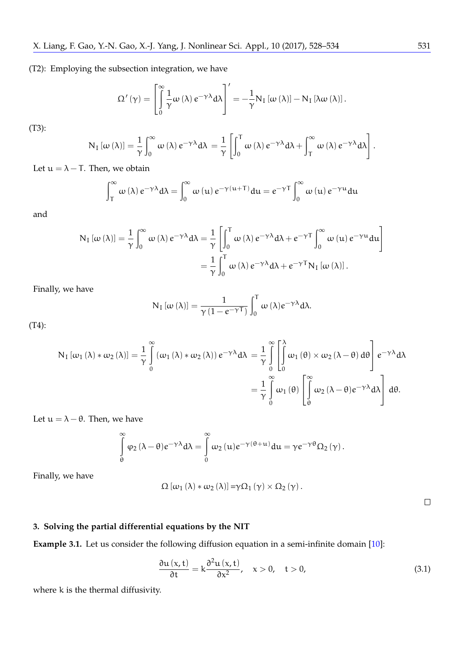(T2): Employing the subsection integration, we have

$$
\Omega'\left(\gamma\right)=\left[\int\limits_{0}^{\infty}\frac{1}{\gamma}\omega\left(\lambda\right)e^{-\gamma\lambda}d\lambda\right]'=-\frac{1}{\gamma}N_{I}\left[\omega\left(\lambda\right)\right]-N_{I}\left[\lambda\omega\left(\lambda\right)\right].
$$

(T3):

$$
N_{I} [\omega (\lambda)] = \frac{1}{\gamma} \int_{0}^{\infty} \omega (\lambda) e^{-\gamma \lambda} d\lambda = \frac{1}{\gamma} \left[ \int_{0}^{T} \omega (\lambda) e^{-\gamma \lambda} d\lambda + \int_{T}^{\infty} \omega (\lambda) e^{-\gamma \lambda} d\lambda \right].
$$

Let  $u = \lambda - T$ . Then, we obtain

$$
\int_{T}^{\infty} \omega(\lambda) e^{-\gamma \lambda} d\lambda = \int_{0}^{\infty} \omega(u) e^{-\gamma(u+T)} du = e^{-\gamma T} \int_{0}^{\infty} \omega(u) e^{-\gamma u} du
$$

and

$$
N_{I} [\omega (\lambda)] = \frac{1}{\gamma} \int_{0}^{\infty} \omega (\lambda) e^{-\gamma \lambda} d\lambda = \frac{1}{\gamma} \left[ \int_{0}^{T} \omega (\lambda) e^{-\gamma \lambda} d\lambda + e^{-\gamma T} \int_{0}^{\infty} \omega (\mu) e^{-\gamma \mu} d\mu \right]
$$

$$
= \frac{1}{\gamma} \int_{0}^{T} \omega (\lambda) e^{-\gamma \lambda} d\lambda + e^{-\gamma T} N_{I} [\omega (\lambda)].
$$

Finally, we have

$$
N_{I} [\omega (\lambda)] = \frac{1}{\gamma (1 - e^{-\gamma T})} \int_{0}^{T} \omega (\lambda) e^{-\gamma \lambda} d\lambda.
$$

(T4):

$$
N_{I} [\omega_{1} (\lambda) * \omega_{2} (\lambda)] = \frac{1}{\gamma} \int_{0}^{\infty} (\omega_{1} (\lambda) * \omega_{2} (\lambda)) e^{-\gamma \lambda} d\lambda = \frac{1}{\gamma} \int_{0}^{\infty} \left[ \int_{0}^{\lambda} \omega_{1} (\theta) \times \omega_{2} (\lambda - \theta) d\theta \right] e^{-\gamma \lambda} d\lambda = \frac{1}{\gamma} \int_{0}^{\infty} \omega_{1} (\theta) \left[ \int_{\theta}^{\infty} \omega_{2} (\lambda - \theta) e^{-\gamma \lambda} d\lambda \right] d\theta.
$$

Let  $u = \lambda - \theta$ . Then, we have

$$
\int\limits_{\theta}^{\infty} \phi_2 \, (\lambda - \theta) e^{-\gamma \lambda} d \lambda = \int\limits_{0}^{\infty} \omega_2 \, (u) e^{-\gamma \, (\theta + u)} d u = \gamma e^{-\gamma \, \theta} \Omega_2 \left( \gamma \right).
$$

Finally, we have

$$
\Omega\left[\omega_{1}\left(\lambda\right)\ast\omega_{2}\left(\lambda\right)\right]=\gamma\Omega_{1}\left(\gamma\right)\times\Omega_{2}\left(\gamma\right).
$$

 $\Box$ 

# <span id="page-3-0"></span>**3. Solving the partial differential equations by the NIT**

<span id="page-3-2"></span>**Example 3.1.** Let us consider the following diffusion equation in a semi-infinite domain [\[10\]](#page-6-11):

<span id="page-3-1"></span>
$$
\frac{\partial \mathfrak{u}(x,t)}{\partial t} = k \frac{\partial^2 \mathfrak{u}(x,t)}{\partial x^2}, \quad x > 0, \quad t > 0,
$$
\n(3.1)

where k is the thermal diffusivity.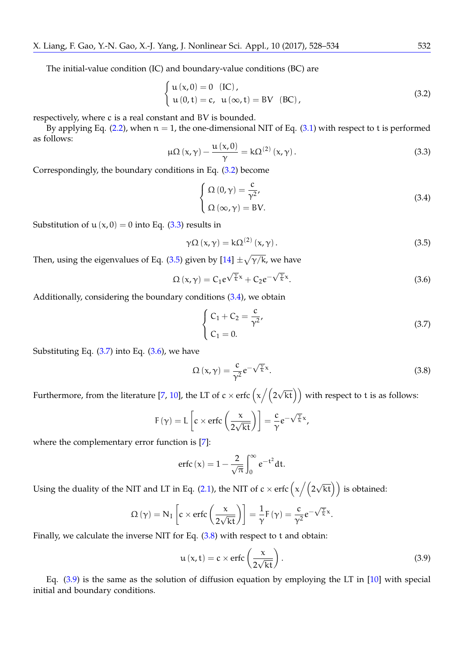The initial-value condition (IC) and boundary-value conditions (BC) are

<span id="page-4-0"></span>
$$
\begin{cases} u(x,0) = 0 & (IC), \\ u(0,t) = c, u(\infty, t) = BV & (BC), \end{cases}
$$
 (3.2)

respectively, where c is a real constant and BV is bounded.

By applying Eq. [\(2.2\)](#page-2-1), when  $n = 1$ , the one-dimensional NIT of Eq. [\(3.1\)](#page-3-1) with respect to t is performed as follows:

<span id="page-4-1"></span>
$$
\mu\Omega\left(x,\gamma\right)-\frac{\mu\left(x,0\right)}{\gamma}=k\Omega^{(2)}\left(x,\gamma\right).
$$
\n(3.3)

Correspondingly, the boundary conditions in Eq. [\(3.2\)](#page-4-0) become

<span id="page-4-3"></span>
$$
\begin{cases}\n\Omega(0,\gamma) = \frac{c}{\gamma^2}, \\
\Omega(\infty,\gamma) = BV.\n\end{cases}
$$
\n(3.4)

Substitution of  $u(x, 0) = 0$  into Eq. [\(3.3\)](#page-4-1) results in

<span id="page-4-2"></span>
$$
\gamma \Omega \left( x, \gamma \right) = k \Omega^{(2)} \left( x, \gamma \right). \tag{3.5}
$$

Then, using the eigenvalues of Eq. [\(3.5\)](#page-4-2) given by  $[14] \pm \sqrt{\gamma/k}$  $[14] \pm \sqrt{\gamma/k}$ , we have

<span id="page-4-5"></span>
$$
\Omega\left(x,\gamma\right) = C_1 e^{\sqrt{\frac{\gamma}{k}}x} + C_2 e^{-\sqrt{\frac{\gamma}{k}}x}.\tag{3.6}
$$

Additionally, considering the boundary conditions [\(3.4\)](#page-4-3), we obtain

<span id="page-4-4"></span>
$$
\begin{cases}\nC_1 + C_2 = \frac{c}{\gamma^2}, \\
C_1 = 0.\n\end{cases}
$$
\n(3.7)

Substituting Eq.  $(3.7)$  into Eq.  $(3.6)$ , we have

<span id="page-4-6"></span>
$$
\Omega\left(x,\gamma\right) = \frac{c}{\gamma^2} e^{-\sqrt{\frac{\gamma}{k}}x}.\tag{3.8}
$$

Furthermore, from the literature [\[7,](#page-6-0) [10\]](#page-6-11), the LT of c  $\times$  erfc  $\left(\chi\left/(2\sqrt{\rm kt}\right)\right)$  with respect to t is as follows:

<span id="page-4-7"></span>
$$
F(\gamma) = L\left[c \times \text{erfc}\left(\frac{x}{2\sqrt{kt}}\right)\right] = \frac{c}{\gamma} e^{-\sqrt{\frac{\gamma}{k}}x},
$$

where the complementary error function is [\[7\]](#page-6-0):

$$
\text{erfc}\left(x\right) = 1 - \frac{2}{\sqrt{\pi}} \int_0^\infty e^{-t^2} dt.
$$

Using the duality of the NIT and LT in Eq. [\(2.1\)](#page-1-2), the NIT of  $c \times \text{erfc}\left(\chi \left/ \left(2 \sqrt{\text{kt}}\right)\right)\right)$  is obtained:

$$
\Omega(\gamma) = N_{I} \left[ c \times \text{erfc}\left(\frac{x}{2\sqrt{kt}}\right) \right] = \frac{1}{\gamma} F(\gamma) = \frac{c}{\gamma^{2}} e^{-\sqrt{\frac{\gamma}{k}} x}.
$$

Finally, we calculate the inverse NIT for Eq. [\(3.8\)](#page-4-6) with respect to t and obtain:

$$
u(x,t) = c \times \text{erfc}\left(\frac{x}{2\sqrt{kt}}\right). \tag{3.9}
$$

Eq. [\(3.9\)](#page-4-7) is the same as the solution of diffusion equation by employing the LT in [\[10\]](#page-6-11) with special initial and boundary conditions.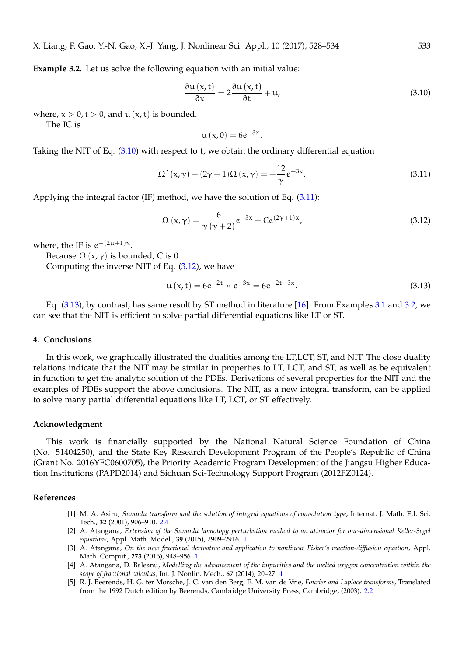<span id="page-5-10"></span>**Example 3.2.** Let us solve the following equation with an initial value:

<span id="page-5-6"></span>
$$
\frac{\partial \mathfrak{u}\left(x,t\right)}{\partial x} = 2 \frac{\partial \mathfrak{u}\left(x,t\right)}{\partial t} + \mathfrak{u},\tag{3.10}
$$

where,  $x > 0$ ,  $t > 0$ , and  $u(x, t)$  is bounded.

The IC is

<span id="page-5-7"></span>
$$
\mathfrak{u}\left( x,0\right) =6e^{-3x}.
$$

Taking the NIT of Eq. [\(3.10\)](#page-5-6) with respect to t, we obtain the ordinary differential equation

$$
\Omega'(x,\gamma) - (2\gamma + 1)\Omega(x,\gamma) = -\frac{12}{\gamma}e^{-3x}.\tag{3.11}
$$

Applying the integral factor (IF) method, we have the solution of Eq. [\(3.11\)](#page-5-7):

<span id="page-5-8"></span>
$$
\Omega(x,\gamma) = \frac{6}{\gamma(\gamma+2)}e^{-3x} + Ce^{(2\gamma+1)x},
$$
\n(3.12)

where, the IF is  $e^{-(2\mu+1)x}$ .

Because  $Ω(x, γ)$  is bounded, C is 0.

Computing the inverse NIT of Eq. [\(3.12\)](#page-5-8), we have

<span id="page-5-9"></span>
$$
u(x,t) = 6e^{-2t} \times e^{-3x} = 6e^{-2t-3x}.
$$
 (3.13)

Eq. [\(3.13\)](#page-5-9), by contrast, has same result by ST method in literature [\[16\]](#page-6-13). From Examples [3.1](#page-3-2) and [3.2,](#page-5-10) we can see that the NIT is efficient to solve partial differential equations like LT or ST.

#### <span id="page-5-3"></span>**4. Conclusions**

In this work, we graphically illustrated the dualities among the LT,LCT, ST, and NIT. The close duality relations indicate that the NIT may be similar in properties to LT, LCT, and ST, as well as be equivalent in function to get the analytic solution of the PDEs. Derivations of several properties for the NIT and the examples of PDEs support the above conclusions. The NIT, as a new integral transform, can be applied to solve many partial differential equations like LT, LCT, or ST effectively.

## **Acknowledgment**

This work is financially supported by the National Natural Science Foundation of China (No. 51404250), and the State Key Research Development Program of the People's Republic of China (Grant No. 2016YFC0600705), the Priority Academic Program Development of the Jiangsu Higher Education Institutions (PAPD2014) and Sichuan Sci-Technology Support Program (2012FZ0124).

## **References**

- <span id="page-5-5"></span>[1] M. A. Asiru, *Sumudu transform and the solution of integral equations of convolution type*, Internat. J. Math. Ed. Sci. Tech., **32** (2001), 906–910. [2.4](#page-1-3)
- <span id="page-5-1"></span>[2] A. Atangana, *Extension of the Sumudu homotopy perturbation method to an attractor for one-dimensional Keller-Segel equations*, Appl. Math. Model., **39** (2015), 2909–2916. [1](#page-0-0)
- <span id="page-5-2"></span>[3] A. Atangana, *On the new fractional derivative and application to nonlinear Fisher's reaction-diffusion equation*, Appl. Math. Comput., **273** (2016), 948–956. [1](#page-0-0)
- <span id="page-5-0"></span>[4] A. Atangana, D. Baleanu, *Modelling the advancement of the impurities and the melted oxygen concentration within the scope of fractional calculus*, Int. J. Nonlin. Mech., **67** (2014), 20–27. [1](#page-0-0)
- <span id="page-5-4"></span>[5] R. J. Beerends, H. G. ter Morsche, J. C. van den Berg, E. M. van de Vrie, *Fourier and Laplace transforms*, Translated from the 1992 Dutch edition by Beerends, Cambridge University Press, Cambridge, (2003). [2.2](#page-1-4)